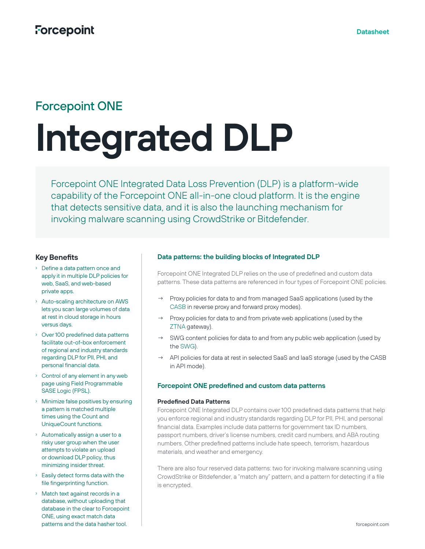# Forcepoint ONE

# **Integrated DLP**

Forcepoint ONE Integrated Data Loss Prevention (DLP) is a platform-wide capability of the Forcepoint ONE all-in-one cloud platform. It is the engine that detects sensitive data, and it is also the launching mechanism for invoking malware scanning using CrowdStrike or Bitdefender.

# **Key Benefits**

- › Define a data pattern once and apply it in multiple DLP policies for web, SaaS, and web-based private apps.
- › Auto-scaling architecture on AWS lets you scan large volumes of data at rest in cloud storage in hours versus days.
- › Over 100 predefined data patterns facilitate out-of-box enforcement of regional and industry standards regarding DLP for PII, PHI, and personal financial data.
- › Control of any element in any web page using Field Programmable SASE Logic (FPSL).
- › Minimize false positives by ensuring a pattern is matched multiple times using the Count and UniqueCount functions.
- › Automatically assign a user to a risky user group when the user attempts to violate an upload or download DLP policy, thus minimizing insider threat.
- › Easily detect forms data with the file fingerprinting function.
- › Match text against records in a database, without uploading that database in the clear to Forcepoint ONE, using exact match data patterns and the data hasher tool.

## **Data patterns: the building blocks of Integrated DLP**

Forcepoint ONE Integrated DLP relies on the use of predefined and custom data patterns. These data patterns are referenced in four types of Forcepoint ONE policies.

- → Proxy policies for data to and from managed SaaS applications (used by the [CASB](https://www.forcepoint.com/resources/datasheets/forcepoint-casb) in reverse proxy and forward proxy modes).
- $\rightarrow$  Proxy policies for data to and from private web applications (used by the [ZTNA](https://www.forcepoint.com/resources/datasheets/forcepoint-zero-trust-network-access) gateway).
- → SWG content policies for data to and from any public web application (used by the [SWG\)](https://www.forcepoint.com/resources/datasheets/secure-web-gateway).
- → API policies for data at rest in selected SaaS and IaaS storage (used by the CASB in API mode).

### **Forcepoint ONE predefined and custom data patterns**

#### **Predefined Data Patterns**

Forcepoint ONE Integrated DLP contains over 100 predefined data patterns that help you enforce regional and industry standards regarding DLP for PII, PHI, and personal financial data. Examples include data patterns for government tax ID numbers, passport numbers, driver's license numbers, credit card numbers, and ABA routing numbers. Other predefined patterns include hate speech, terrorism, hazardous materials, and weather and emergency.

There are also four reserved data patterns: two for invoking malware scanning using CrowdStrike or Bitdefender, a "match any" pattern, and a pattern for detecting if a file is encrypted.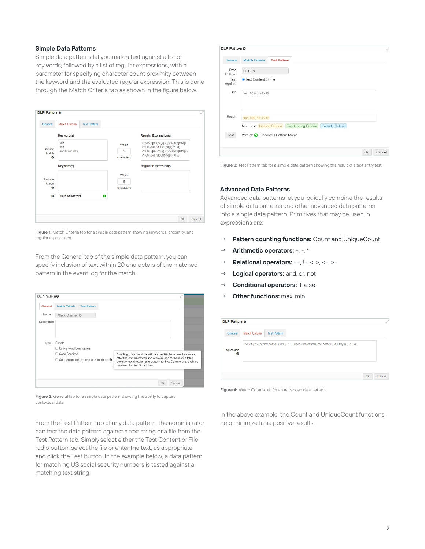#### **Simple Data Patterns**

Simple data patterns let you match text against a list of keywords, followed by a list of regular expressions, with a parameter for specifying character count proximity between the keyword and the evaluated regular expression. This is done through the Match Criteria tab as shown in the figure below.



**Figure 1:** Match Criteria tab for a simple data pattern showing keywords, proximity, and regular expressions.

From the General tab of the simple data pattern, you can specify inclusion of text within 20 characters of the matched pattern in the event log for the match.



**Figure 2:** General tab for a simple data pattern showing the ability to capture contextual data.

From the Test Pattern tab of any data pattern, the administrator can test the data pattern against a text string or a file from the Test Pattern tab. Simply select either the Test Content or FIle radio button, select the file or enter the text, as appropriate, and click the Test button. In the example below, a data pattern for matching US social security numbers is tested against a matching text string.

| DLP Pattern <sup>®</sup> |                                                                 | ú.           |
|--------------------------|-----------------------------------------------------------------|--------------|
| General                  | <b>Match Criteria</b><br><b>Test Pattern</b>                    |              |
| Data<br>Pattern          | PII SSN                                                         |              |
| Test<br>Against          | $\bullet$ Test Content $\circ$ File                             |              |
| Text                     | ssn 109-55-1212                                                 |              |
| Result                   | ssn 109-55-1212                                                 |              |
|                          | Matches: Include Criteria Overlapping Criteria Exclude Criteria |              |
| Test                     | Verdict: O Successful Pattern Match                             |              |
|                          |                                                                 |              |
|                          |                                                                 | Ok<br>Cancel |

**Figure 3:** Test Pattern tab for a simple data pattern showing the result of a text entry test.

#### **Advanced Data Patterns**

Advanced data patterns let you logically combine the results of simple data patterns and other advanced data patterns into a single data pattern. Primitives that may be used in expressions are:

- → **Pattern counting functions:** Count and UniqueCount
- → **Arithmetic operators:** +, -, \*
- → **Relational operators:** ==, !=, <, >, <=, >=
- → **Logical operators:** and, or, not
- → **Conditional operators:** if, else
- → **Other functions:** max, min

| General                             | Match Criteria | <b>Test Pattern</b>                                                                  |  |
|-------------------------------------|----------------|--------------------------------------------------------------------------------------|--|
| Expression<br>$\boldsymbol{\Theta}$ |                | (count("PCI Credit-Card Types") >= 1 and countunique("PCI Credit-Card Digits") >= 5) |  |
|                                     |                |                                                                                      |  |

**Figure 4:** Match Criteria tab for an advanced data pattern.

In the above example, the Count and UniqueCount functions help minimize false positive results.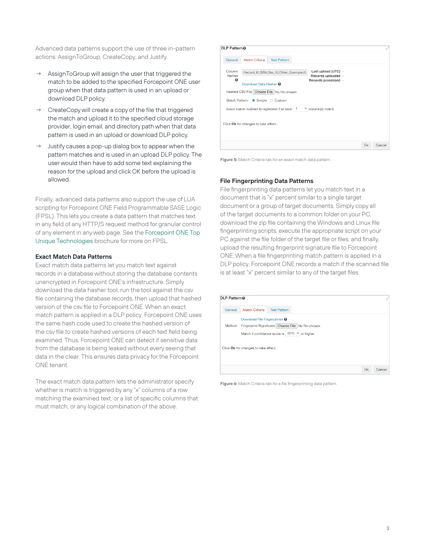Advanced data patterns support the use of three in-pattern actions: AssignToGroup, CreateCopy, and Justify.

- AssignToGroup will assign the user that triggered the match to be added to the specified Forcepoint ONE user group when that data pattern is used in an upload or download DLP policy.
- CreateCopy will create a copy of the file that triggered the match and upload it to the specified cloud storage provider, login email, and directory path when that data pattern is used in an upload or download DLP policy.
- Justify causes a pop-up dialog box to appear when the pattern matches and is used in an upload DLP policy. The user would then have to add some text explaining the reason for the upload and click OK before the upload is allowed.

Finally, advanced data patterns also support the use of LUA scripting for Forcepoint ONE Field Programmable SASE Logic (FPSL). This lets you create a data pattern that matches text in any field of any HTTP/S request method for granular control of any element in any web page. See the [Forcepoint ONE Top](https://www.forcepoint.com/resources/brochures/forcepoint-one-top-unique-technologies)  [Unique Technologies](https://www.forcepoint.com/resources/brochures/forcepoint-one-top-unique-technologies) brochure for more on FPSL.

#### **Exact Match Data Patterns**

Exact match data patterns let you match text against records in a database without storing the database contents unencrypted in Forcepoint ONE's infrastructure. Simply download the data hasher tool, run the tool against the csv file containing the database records, then upload that hashed version of the csv file to Forcepoint ONE. When an exact match pattern is applied in a DLP policy, Forcepoint ONE uses the same hash code used to create the hashed version of the csv file to create hashed versions of each text field being examined. Thus, Forcepoint ONE can detect if sensitive data from the database is being leaked without every seeing that data in the clear. This ensures data privacy for the Forcepoint ONE tenant.

The exact match data pattern lets the administrator specify whether is match is triggered by any "x" columns of a row matching the examined text, or a list of specific columns that must match, or any logical combination of the above.

| DLP Pattern <sup>®</sup> |                                                                                |                     |   |                                                                  |    |        |
|--------------------------|--------------------------------------------------------------------------------|---------------------|---|------------------------------------------------------------------|----|--------|
| General                  | <b>Match Criteria</b>                                                          | <b>Test Pattern</b> |   |                                                                  |    |        |
| Column<br>Names<br>◵     | Record ID, SSN, Tax ID, Other Example, Et<br>Download Data Hasher <sup>O</sup> |                     |   | Last upload (UTC) -<br>Records uploaded -<br>Records processed - |    |        |
|                          | Hashed CSV File Choose File No file chosen                                     |                     |   |                                                                  |    |        |
|                          | Match Pattern  ightarrow Simple  Custom                                        |                     |   |                                                                  |    |        |
|                          | Exact match incident is registered if at least 1                               |                     | Y | column(s) match                                                  |    |        |
|                          | Click Ok for changes to take effect.                                           |                     |   |                                                                  |    |        |
|                          |                                                                                |                     |   |                                                                  |    |        |
|                          |                                                                                |                     |   |                                                                  | Ok | Cancel |

**Figure 5:** Match Criteria tab for an exact match data pattern.

#### **File Fingerprinting Data Patterns**

File fingerprinting data patterns let you match text in a document that is "x" percent similar to a single target document or a group of target documents. Simply copy all of the target documents to a common folder on your PC, download the zip file containing the Windows and Linux file fingerprinting scripts, execute the appropriate script on your PC against the file folder of the target file or files, and finally, upload the resulting fingerprint signature file to Forcepoint ONE. When a file fingerprinting match pattern is applied in a DLP policy, Forcepoint ONE records a match if the scanned file is at least "x" percent similar to any of the target files.

| <b>DLP PatternO</b> |                                                                                                                                                                                          |              |
|---------------------|------------------------------------------------------------------------------------------------------------------------------------------------------------------------------------------|--------------|
| General             | Match Criteria<br><b>Test Pattern</b>                                                                                                                                                    |              |
| Method              | Download File Fingerprinter <sup>O</sup><br>Fingerprint Signatures Choose File No file chosen<br>Match if confidence score is 80% v<br>or higher<br>Click Ok for changes to take effect. |              |
|                     |                                                                                                                                                                                          | Ok<br>Cancel |

**Figure 6:** Match Criteria tab for a file fingerprinting data pattern.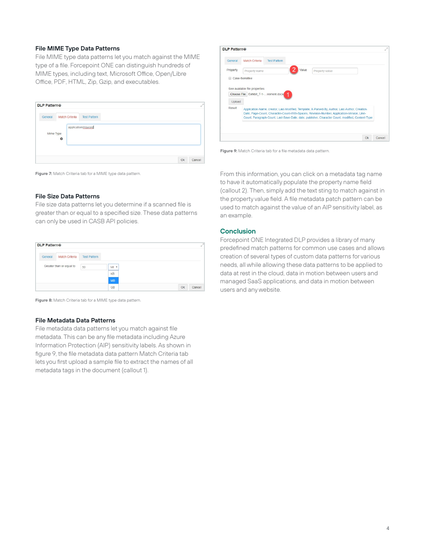#### **File MIME Type Data Patterns**

File MIME type data patterns let you match against the MIME type of a file. Forcepoint ONE can distinguish hundreds of MIME types, including text, Microsoft Office, Open/Libre Office, PDF, HTML, Zip, Gzip, and executables.

| <b>DLP Pattern®</b> |                |                     | v |
|---------------------|----------------|---------------------|---|
| General             | Match Criteria | <b>Test Pattern</b> |   |
| Mime Type           |                | application/msword  |   |
|                     | $\bullet$      |                     |   |

**Figure 7:** Match Criteria tab for a MIME type data pattern.

#### **File Size Data Patterns**

File size data patterns let you determine if a scanned file is greater than or equal to a specified size. These data patterns can only be used in CASB API policies.

|         | <b>DLP Pattern®</b>      |                     |                |    |        |
|---------|--------------------------|---------------------|----------------|----|--------|
| General | <b>Match Criteria</b>    | <b>Test Pattern</b> |                |    |        |
|         | Greater than or equal to | 50                  | M <sub>1</sub> |    |        |
|         |                          |                     | KB             |    |        |
|         |                          |                     | <b>MB</b>      |    |        |
|         |                          |                     | <b>GB</b>      | Ok | Cancel |

**Figure 8:** Match Criteria tab for a MIME type data pattern.

#### **File Metadata Data Patterns**

File metadata data patterns let you match against file metadata. This can be any file metadata including Azure Information Protection (AIP) sensitivity labels. As shown in figure 9, the file metadata data pattern Match Criteria tab lets you first upload a sample file to extract the names of all metadata tags in the document (callout 1).



**Figure 9:** Match Criteria tab for a file metadata data pattern.

From this information, you can click on a metadata tag name to have it automatically populate the property name field (callout 2). Then, simply add the text sting to match against in the property value field. A file metadata patch pattern can be used to match against the value of an AIP sensitivity label, as an example.

#### **Conclusion**

Forcepoint ONE Integrated DLP provides a library of many predefined match patterns for common use cases and allows creation of several types of custom data patterns for various needs, all while allowing these data patterns to be applied to data at rest in the cloud, data in motion between users and managed SaaS applications, and data in motion between users and any website.